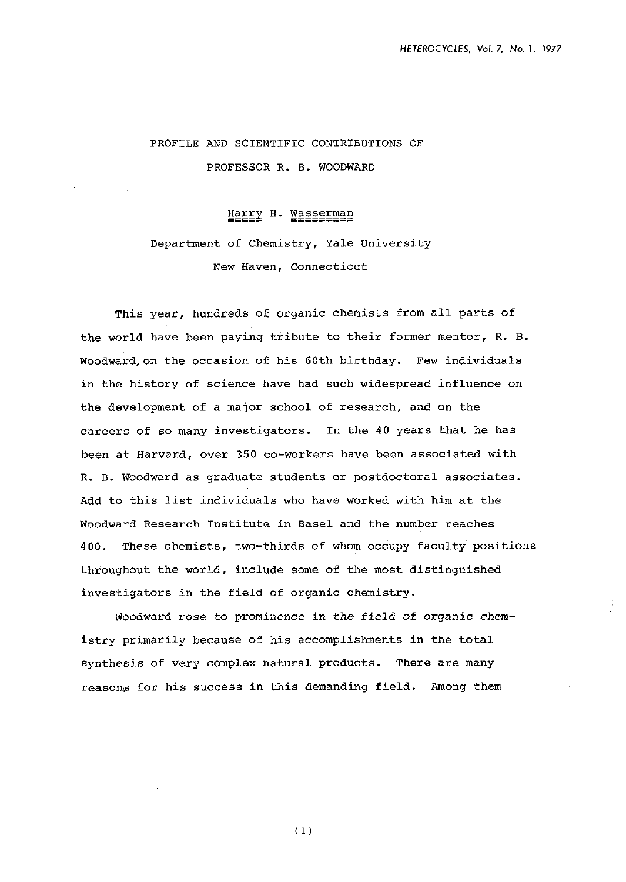# PROFILE AND SCIENTIFIC CONTRIBUTIONS OF PROFESSOR R. B. WOODWARD

## Harry H. Wasserman

# Department of Chemistry, Yale University New Haven, Connecticut

This year, hundreds of organic chemists from all parts of the world have been paying tribute to their former mentor, R. B. Woodward,on the occasion of his 60th birthday. Few individuals in the history of science have had such widespread influence on the development of a major school of research, and on the careers of so many investigators. In the 40 years that he has been at Harvard, over 350 co-workers have been associated with R. B. Woodward as graduate students or postdoctoral associates. Add to this list individuals who have worked with him at the Woodward Research Institute in Base1 and the number reaches 400. These chemists, two-thirds of whom occupy faculty positions throughout the world, include some of the most distinguished investigators in the field of organic chemistry.

Woodward rose to prominence in the field of organic chemistry primarily because of his accomplishments in the total synthesis of very complex natural products. There are many reasons for his success in this demanding field. Among them

 $(1)$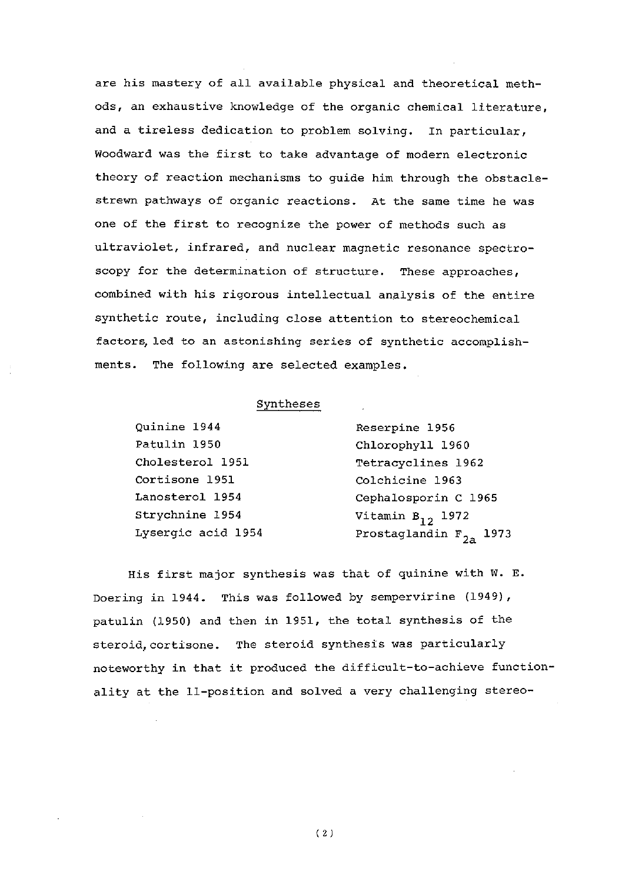are his mastery of all available physical and theoretical methods, an exhaustive knowledge of the organic chemical literature, and a tireless dedication to problem solving. In particular, Woodward was the first to take advantage of modern electronic theory of reaction mechanisms to guide him through the obstaclestrewn pathways of organic reactions. At the same time he was one of the first to recognize the power of methods such as ultraviolet, infrared, and nuclear magnetic resonance spectroscopy for the determination of structure. These approaches, combined with his rigorous intellectual analysis of the entire synthetic route, including close attention to stereochemical factors,led to an astonishing series of synthetic accomplishments. The following are selected examples.

### Syntheses

| Quinine 1944       | Reserpine 1956              |
|--------------------|-----------------------------|
| Patulin 1950       | Chlorophyll 1960            |
| Cholesterol 1951   | Tetracyclines 1962          |
| Cortisone 1951     | Colchicine 1963             |
| Lanosterol 1954    | Cephalosporin C 1965        |
| Strychnine 1954    | Vitamin $B_{12}$ 1972       |
| Lysergic acid 1954 | Prostaglandin $F_{2n}$ 1973 |

His first major synthesis was that of quinine with W. E. Doering in  $1944$ . This was followed by sempervirine  $(1949)$ , patulin (1950) and then in 1951, the total synthesis of the steroid, cortisone. The steroid synthesis was particularly noteworthy in that it produced the difficult-to-achieve functionality at the 11-position and solved a very challenging stereo-

 $(2)$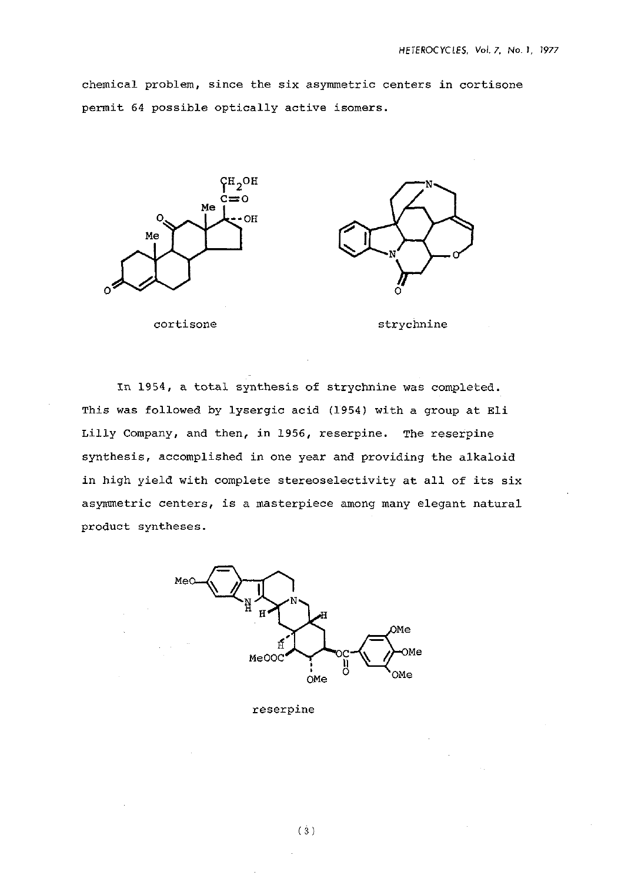chemical problem, since the six asymmetric centers in cortisone permit 64 possible optically active isomers.





cortisone strychnine

In 1954, a total synthesis of strychnine was completed. This was followed by lysergic acid (1954) with a group at Eli Lilly Company, and then, in 1956, reserpine. The reserpine synthesis, accomplished in one year and providing the alkaloid in high yield with complete stereoselectivity at all of its six asymmetric centers, is a masterpiece among many elegant natural product syntheses.



reserpine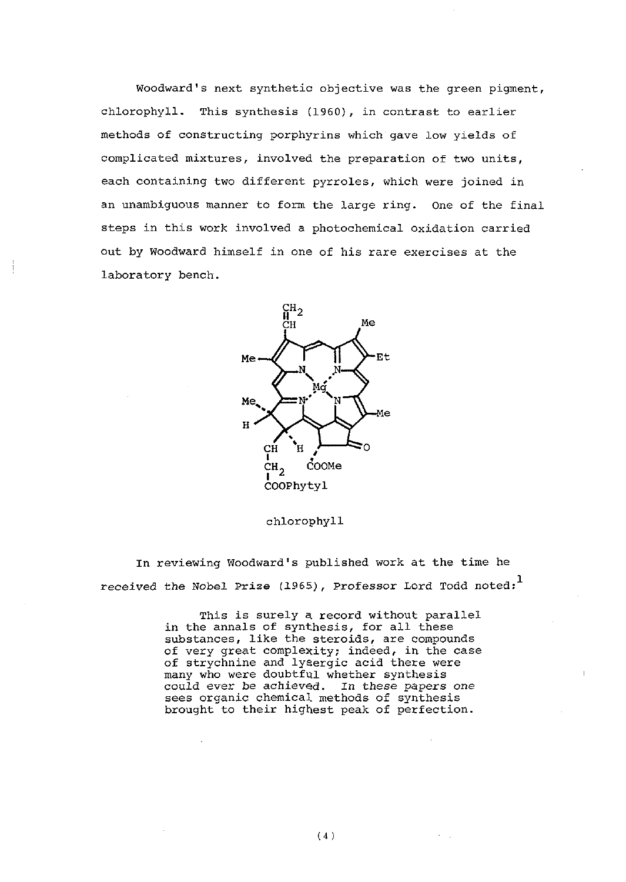Woodward's next synthetic objective was the green pigment, chlorophyll. This synthesis (1960), in contrast to earlier methods of constructing porphyrins which gave low yields of complicated mixtures, involved the preparation of two units, each containing two different pyrroles, which were joined in an unambiguous manner to form the large ring. One of the final steps in this work involved a photochemical oxidation carried out by Woodward himself in one of his rare exercises at the laboratory bench.



#### chlorophyll

In reviewing Woodward's published work at the time he received the Nobel Prize (1965). Professor Lord Todd noted: **<sup>1</sup>**

> This is surely a record without parallel in the annals of synthesis, for all these substances, like the steroids, are compounds of very great complexity; indeed, in the case of strychnine and lysergic acid there were many who were doubtful whether synthesis could ever be achieved. In these papers one sees organic chemical methods of synthesis brought to their highest peak of perfection.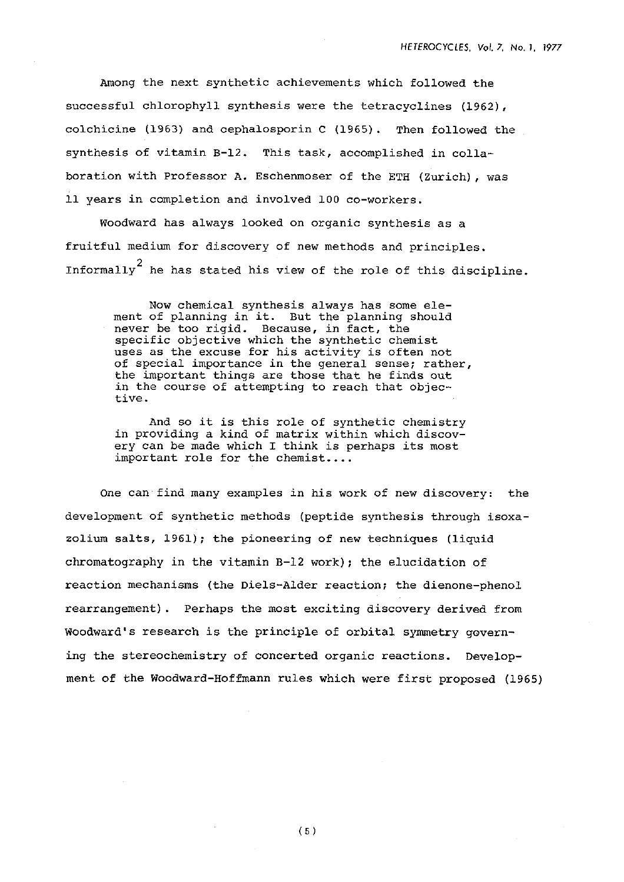Among the next synthetic achievements which followed the successful chlorophyll synthesis were the tetracyclines (1962), colchicine (1963) and cephalosporin C (1965). Then followed the synthesis of vitamin B-12. This task, accomplished in collaboration with Professor A. Eschenmoser of the ETH (Zurich), was 11 years in completion and involved 100 co-workers.

Woodward has always looked on organic synthesis as a fruitful medium for discovery of new methods and principles. Informally<sup>2</sup> he has stated his view of the role of this discipline.

> Now chemical synthesis always has some element of planning in it. But the planning should never be too rigid. Because, in fact, the specific objective which the synthetic chemist uses as the excuse for his activity is often not of special importance in the general sense; rather, the important things are those that he finds out in the course of attempting to reach that objective.

And so it is this role of synthetic chemistry in providing a kind of matrix within which discovery can be made which I think is perhaps its most important role for the chemist....

One can find many examples in his work of new discovery: the development of synthetic methods (peptide synthesis through isoxazolium salts, 1961); the pioneering of new techniques (liquid chromatography in the vitamin B-12 work); the elucidation of reaction mechanisms (the Diels-Alder reaction; the dienone-phenol rearrangement). Perhaps the most exciting discovery derived from Woodward's research is the principle of orbital symmetry governing the stereochemistry of concerted organic reactions. Development of the Woodward-Hoffmann rules which were first proposed (1965)

 $(5)$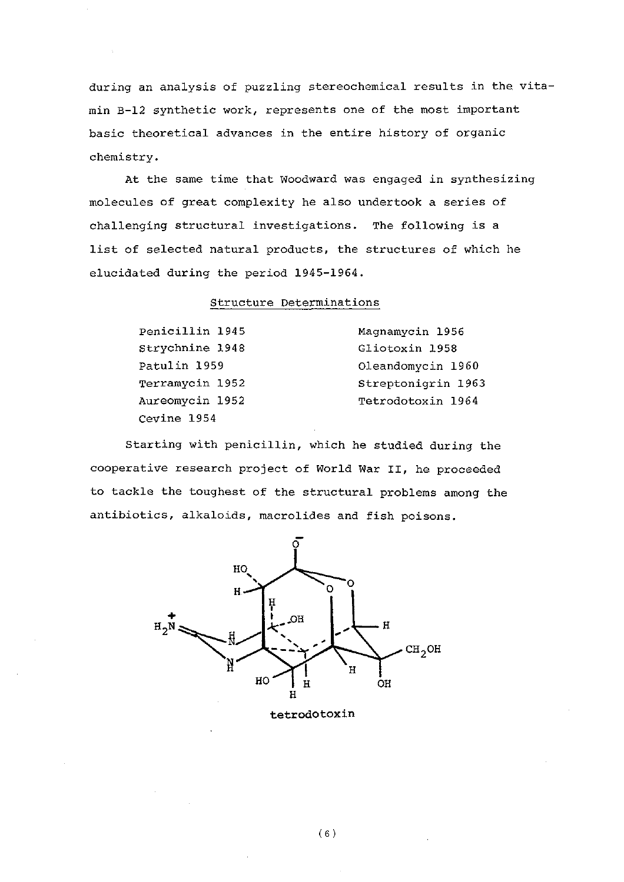during an analysis of puzzling stereochemical results in the vitamin B-12 synthetic work, represents one of the most important basic theoretical advances in the entire history of organic chemistry.

At the same time that Woodward was engaged in synthesizing molecules of great complexity he also undertook a series of challenging structural investigations. The following is a list of selected natural products, the structures of which he elucidated during the period 1945-1964.

#### Structure Determinations

| Penicillin 1945 | Magnamycin 1956    |
|-----------------|--------------------|
| Strychnine 1948 | Gliotoxin 1958     |
| Patulin 1959    | Oleandomycin 1960  |
| Terramycin 1952 | Streptonigrin 1963 |
| Aureomycin 1952 | Tetrodotoxin 1964  |
| Cevine 1954     |                    |

Starting with penicillin, which he studied during the cooperative research project of World War **11,** he proceeded to tackle the toughest of the structural problems among the antibiotics, alkaloids, macrolides and fish poisons.



tetrodotoxin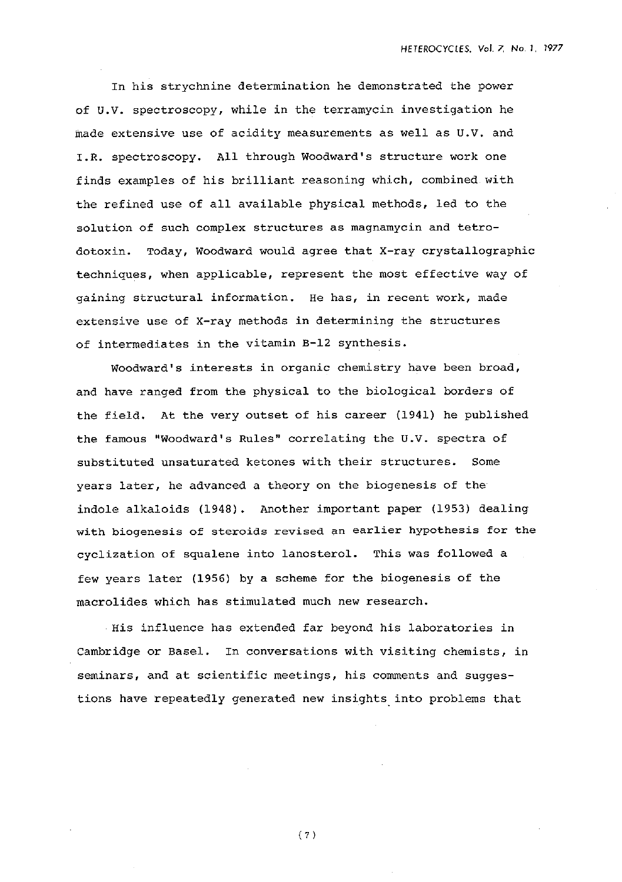In his strychnine determination he demonstrated the power of U.V. spectroscopy, while in the terramycin investigation he made extensive use of acidity measurements as well as U.V. and I.R. spectroscopy. All through Woodward's structure work one finds examples of his brilliant reasoning which, combined with the refined use of all available physical methods, led to the solution of such complex structures as magnamycin and tetrodotoxin. Today, Woodward would agree that X-ray crystallographic techniques, when applicable, represent the most effective way of gaining structural information. He has, in recent work, made extensive use of X-ray methods in determining the structures of intermediates in the vitamin B-12 synthesis.

Woodward's interests in organic chemistry have been broad, and have ranged from the physical to the biological borders of the field. At the very outset of his career (1941) he published the famous "Woodward's Rules" correlating the U.V. spectra of substituted unsaturated ketones with their structures. Some years later, he advanced a theory on the biogenesis of the indole alkaloids (1948). Another important paper (1953) dealing with biogenesis of steroids revised an earlier hypothesis for the cyclization of squalene into lanosterol. This was followed a few years later (1956) by a scheme for the biogenesis of the macrolides which has stimulated much new research.

His influence has extended far beyond his laboratories in Cambridge or Basel. In conversations with visiting chemists, in seminars, and at scientific meetings, his comments and suggestions have repeatedly generated new insights into problems that

 $(7)$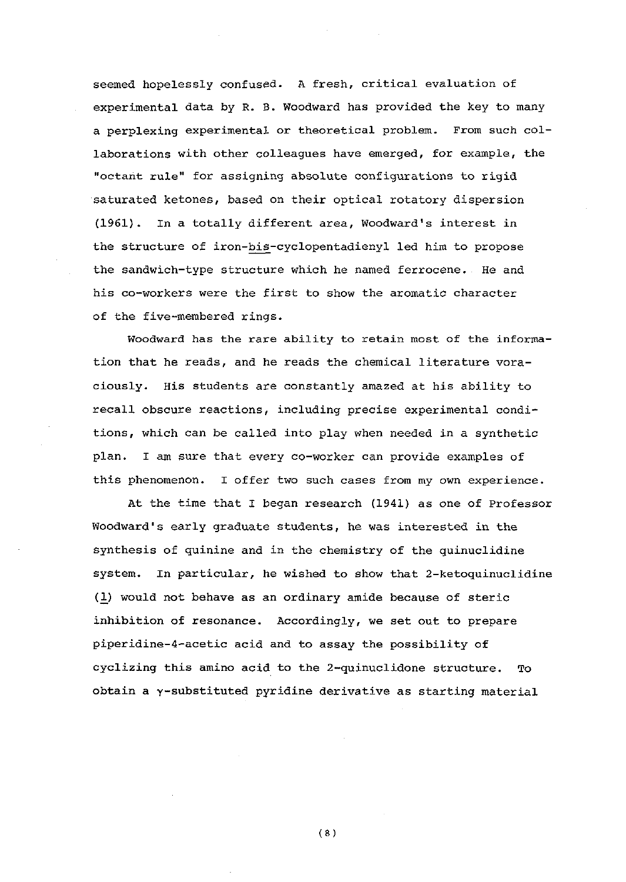seemed hopelessly confused. A fresh, critical evaluation of experimental data by R. B. Woodward has provided the key to many a perplexing experimental or theoretical problem. From such collaborations with other colleagues have emerged, for example, the "octant rule" for assigning absolute configurations to rigid saturated ketones, based on their optical rotatory dispersion (1961). In a totally different area, Woodward's interest in the structure of iron-bis-cyclopentadienyl led him to propose the sandwich-type structure which he named ferrocene. He and his co-workers were the first to show the aromatic character of the five-membered rings.

Woodward has the rare ability to retain most of the information that he reads, and he reads the chemical literature voraciously. His students are constantly amazed at his ability to recall obscure reactions, including precise experimental conditions, which can be called into play when needed in a synthetic plan. I am sure that every co-worker can provide examples of this phenomenon. I offer two such cases from my own experience.

At the time that I began research (1941) as one of Professor Woodward's early graduate students, he was interested in the synthesis of quinine and in the chemistry of the quinuclidine system. In particular, he wished to show that 2-ketoquinuclidine (1) would not behave as an ordinary amide because of steric inhibition of resonance. Accordingly, we set out to prepare piperidine-4-acetic acid and to assay the possibility of cyclizing this amino acid to the 2-quinuclidone structure. To obtain a y-substituted pyridine derivative as starting material

 $(8)$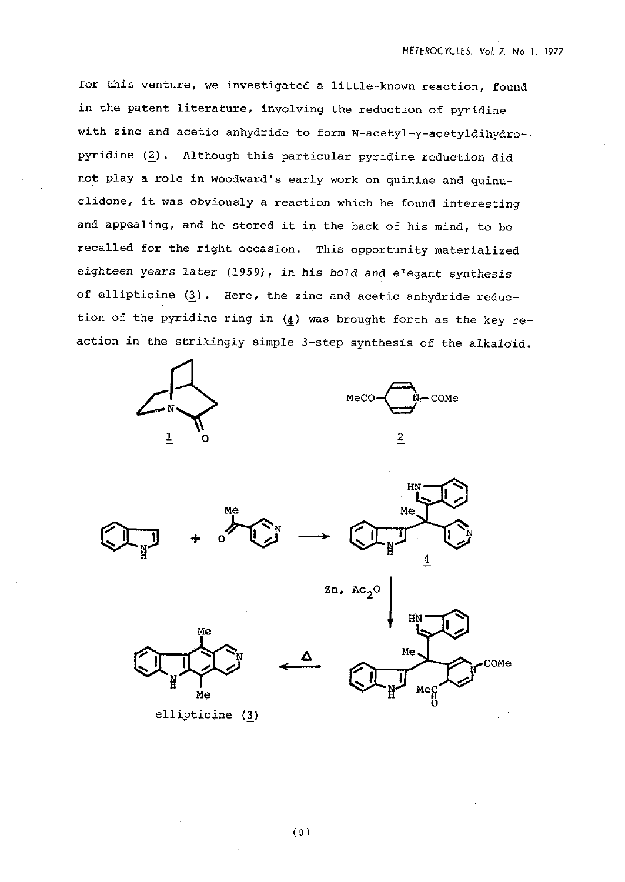for this venture, we investigated a little-known reaction, found in the patent literature, involving the reduction of pyridine with zinc and acetic anhydride to form **N-acetyl-y-acetyldihydro**pyridine (2). Although this particular pyridine reduction did not play a role in woodward's early work on quinine and quinuclidone, it was obviously a reaction which he found interesting and appealing, and he stored it in the back of his mind, to be recalled for the right occasion. This opportunity materialized eighteen years later (1959), in his bold and elegant synthesis of ellipticine *(3).* Here, the zinc and acetic anhydride reduction of the pyridine ring in  $(4)$  was brought forth as the key reaction in the strikingly simple 3-step synthesis of the alkaloid.





ИN

Me

Me





 $2n$ , Ac<sub>2</sub>C







-

COMe

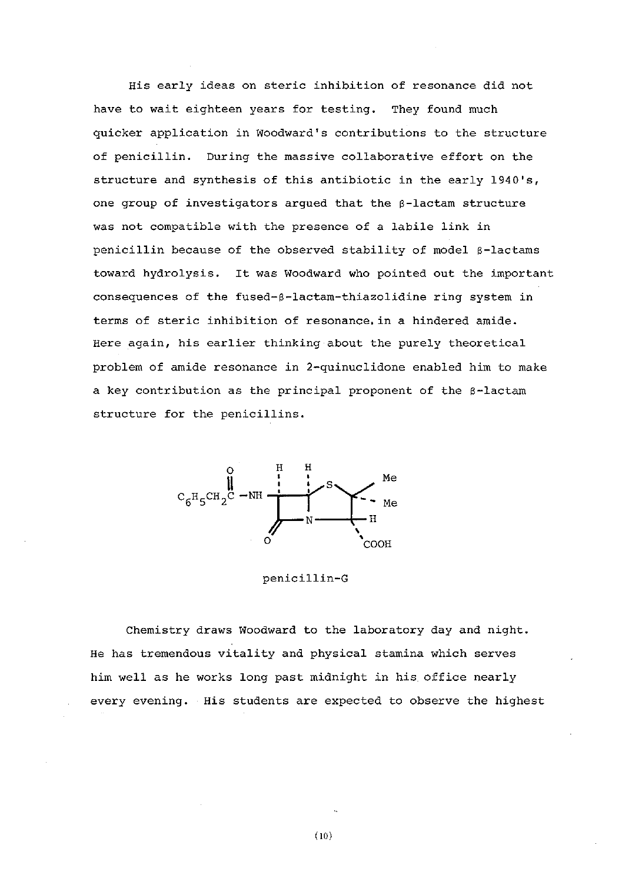His early ideas on steric inhibition of resonance did not have to wait eighteen years for testing. They found much quicker application in Woodward's contributions to the structure of penicillin. During the massive collaborative effort on the structure and synthesis of this antibiotic in the early  $1940's$ , one group of investigators argued that the 6-lactam structure was not compatible with the presence of a labile link in penicillin because of the observed stability of model 6-lactams toward hydrolysis. It was Woodward who pointed out the important consequences of the fused-6-lactam-thiazolidine ring system in terms of steric inhibition of resonance.in a hindered amide. Here again, his earlier thinking about the purely theoretical problem of amide resonance in 2-quinuclidone enabled him to make a key contribution as the principal proponent of the  $\beta$ -lactam structure for the penicillins.



penicillin-G

Chemistry draws Woodward to the laboratory day and night. He has tremendous vitality and physical stamina which serves him well as he works long past midnight in his office nearly every evening. His students are expected to observe the highest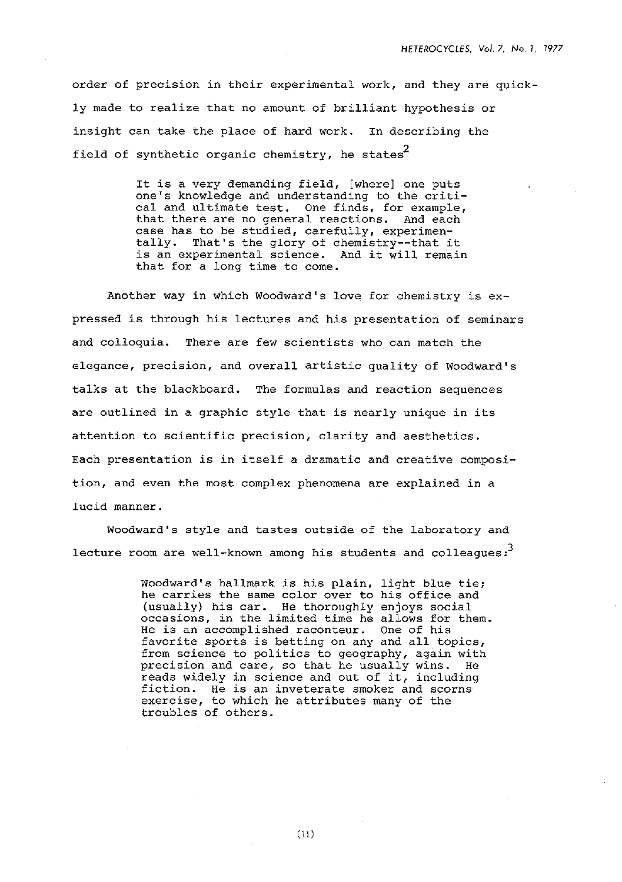order of precision in their experimental work, and they are quickly made to realize that no amount of brilliant hypothesis or insight can take the place of hard work. In describing the field of synthetic organic chemistry, he states $^2$ 

> It is a very demanding field, [where] one puts one's knowledge and understanding to the critical and ultimate test. One finds, for example, that there are no general reactions. And each case has to be studied, carefully, experimentally. That's the glory of chemistry--that it is an experimental science. And it will remain that for a long time to come.

Another way in which Woodward's love for chemistry is expressed is through his lectures and his presentation of seminars and colloquia. There are few scientists who can match the elegance, precision, and overall artistic quality of Woodward's talks at the blackboard. The formulas and reaction sequences are outlined in a graphic style that is nearly unique in its attention to scientific precision, clarity and aesthetics. Each presentation is in itself a dramatic and creative composition, and even the most complex phenomena are explained in a lucid manner.

Woodward's style and tastes outside of the laboratory and lecture room are well-known among his students and colleagues: **<sup>3</sup>**

> Woodward's hallmark is his plain, light blue tie; he carries the same color over to his office and (usually) his car. He thoroughly enjoys social occasions, in the limited time he allows for them. He is an accomplished raconteur. One of his favorite sports is betting on any and all topics, from science to politics to geography, again with precision and care, so that he usually wins. He reads widely in science and out of it, including fiction. He is an inveterate smoker and scorns exercise, to which he attributes many of the troubles of others.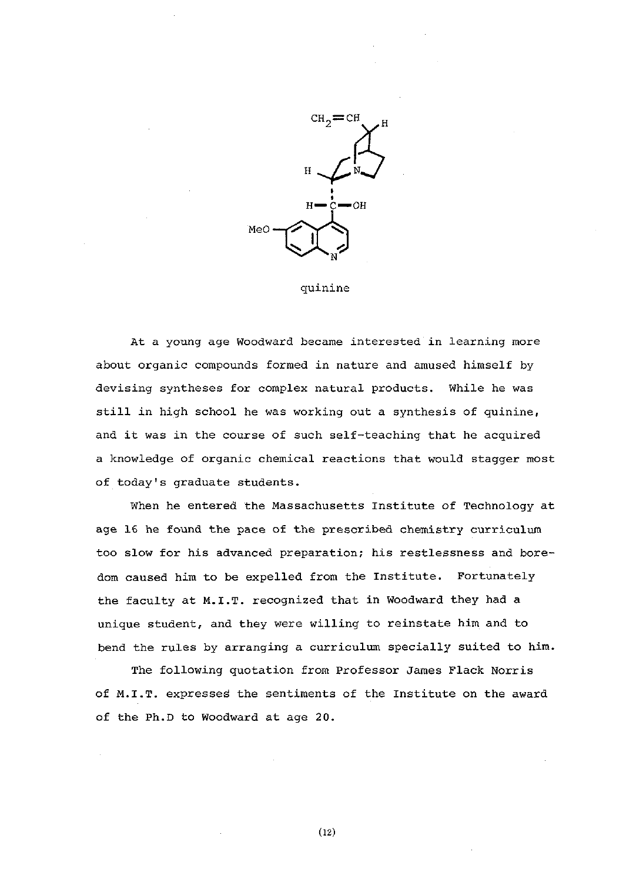

quinine

At a young age Woodward became interested in learning more about organic compounds formed in nature and amused himself by devising syntheses for complex natural products. While he was still in high school he was working out a synthesis of quinine, and it was in the course of such self-teaching that he acquired a knowledge of organic chemical reactions that would stagger most of today's graduate students.

When he entered the Massachusetts Institute of Technology at age 16 he found the pace of the prescribed chemistry curriculum too slow for his advanced preparation; his restlessness and boredom caused him to be expelled from the Institute. Fortunately the faculty at M.I.T. recognized that in Woodward they had a unique student, and they were willing to reinstate him and to bend the rules by arranging a curriculum specially suited to him.

The following quotation from Professor James Flack Norris of **M.I.T.** expresses the sentiments of the Institute on the award of the Ph.D to Woodward at age 20.

 $(12)$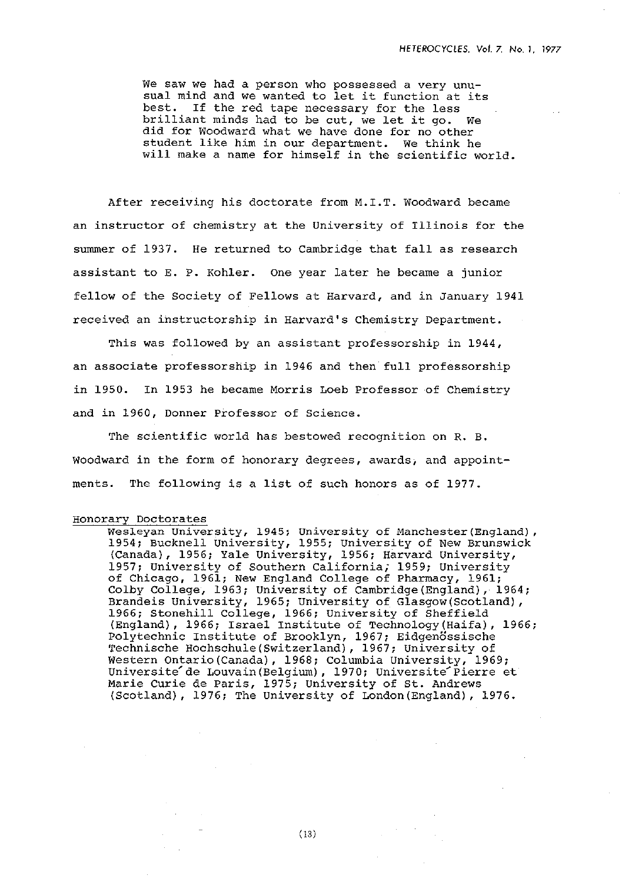We saw we had a person who possessed a very unusual mind and we wanted to let it function at its best. If the red tape necessary for the less brilliant minds had to be cut, we let it go. We did for Woodward what we have done for no other student like him in our department. We think he will make a name for himself in the scientific world.

After receiving his doctorate from M.I.T. Woodward became an instructor of chemistry at the University of Illinois for the summer of 1937. He returned to Cambridge that fall as research assistant to E. P. Kohler. One year later he became a junior fellow of the Society of Fellows at Harvard, and in January 1941 received an instructorship in Harvard's Chemistry Department.

This was followed by an assistant professorship in 1944, an associate professorship in 1946 and then full professorship in 1950. In 1953 he became Morris Loeb Professor of Chemistry and in 1960, Donner Professor of Science.

The scientific world has bestowed recognition on R. B. Woodward in the form of honorary degrees, awards, and appointments. The following is a list of such honors as of 1977.

#### Honorary Doctorates

Wesleyan University, 1945; University of Manchester(England), 1954; Bucknell University, 1955; University of New Brunswick (Canada), 1956; Yale University, 1956; Harvard University, 1957; University of Southern California; 1959; University of Chicago, 1961; New England College of Pharmacy, 1961; Colby College, 1963; University of Cambridge(England), 1964; Brandeis University, 1965; University of Glasgow(Scotland), 1966; Stonehill College, 1966; University of Sheffield (England), 1966; Israel Institute of Technology(Haifa), 1966; Polytechnic Institute of Brooklyn, 1967; Eidgenössische l'echnische **Hochschule(Switzerland),** 1967; University - of Western Ontario(Canada), 1968; Columbia University, 1969; Universite de Louvain(Belgium), 1970; Universite Pierre et Marie Curie de Paris, 1975; University of St. Andrews (Scotland), 1976; The University of London(Eng1and) , 1976.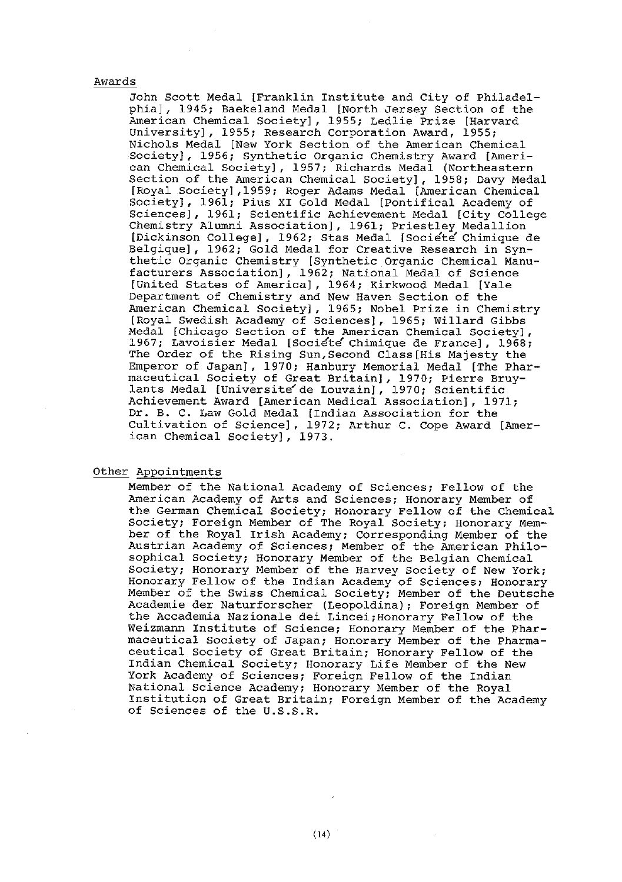### Awards

John Scott Medal [Franklin Institute and City of Philadelphial, 1945; Baekeland Medal [North Jersey Section of the American Chemical Societyl, 1955; Ledlie Prize [Harvard University], 1955; Research Corporation Award, 1955; Nichols Medal [New York Section of the American Chemical Societyl, 1956; Synthetic Organic Chemistry Award [American Chemical Societyl, 1957; Richards Medal (Northeastern Section of the American Chemical Society], 1958; Davy Medal [Royal Societyl,l959; Roger Adams Medal [American Chemical Societyl, 1961; Pius XI Gold Medal [Pontifical Academy of Sciencesl, 1961; Scientific Achievement Medal [city college Chemistry Alumni Association], 1961; Priestley Medallion [Dickinson College], 1962; Stas Medal [Societe Chimique de Belgiquel, 1962; Gold Medal for Creative Research in Synthetic Organic Chemistry [Synthetic Organic Chemical Manufacturers Associationl, 1962; National Medal of Science [United States of America], 1964; Kirkwood Medal [Yale Department of Chemistry and New Haven Section of the American Chemical Societyl, 1965; Nobel Prize in Chemistry [Royal Swedish Academy of Sciencesl, 1965; Willard Gibbs Medal [Chicago Section of the American Chemical Societyl, 1967; Lavoisler Medal [Socidte' Chimique de France], 1968; The Order of the Rising Sun,Second Class[His Majesty the Emperor of Japan], 1970; Hanbury Memorial Medal [The Pharmaceutical Society of Great Britain], 1970; Pierre Bruylants Medal [Universite'de Louvainl, 1970; Scientific Achievement Award [American Medical Associationl, 1971; Dr. B. C. Law Gold Medal [Indian Association for the Cultivation of Science], 1972; Arthur C. Cope Award [American Chemical Societyl, 1973.

#### *Other* Appointments

Member of the National Academy of Sciences; Fellow of the American Academy of Arts and Sciences; Honorary Member of the German Chemical Society; Honorary Fellow of the Chemical Society; Foreign Member of The Royal Society; Honorary Member of the Royal Irish Academy; Corresponding Member of the Austrian Academy of Sciences; Member of the American Philosophical Society; Honorary Member of the Belgian Chemical Society; Honorary Member of the Harvey Society of New York; Honorary Fellow of the Indian Academy of Sciences; Honorary Member of the Swiss Chemical Society; Member of the Deutsche Academie der Naturforscher (Leopoldina); Foreign Member of the Accademia Nazionale dei Lincei;Honorary Fellow of the weizmann Institute of Science; Honorary Member of the Pharmaceutical Society of Japan; Honorary Member of the Pharmaceutical Societv of Great Britain: Honorarv Fellow of the Indian Chemical Society; Honorary Life Member of the New York Academy of Sciences; Foreign Fellow of the Indian National Science Academv: nonorarv Member of the Roval Institution of Great Britain; Foreign Member of the Academy of Sciences of the U.S.S.R.